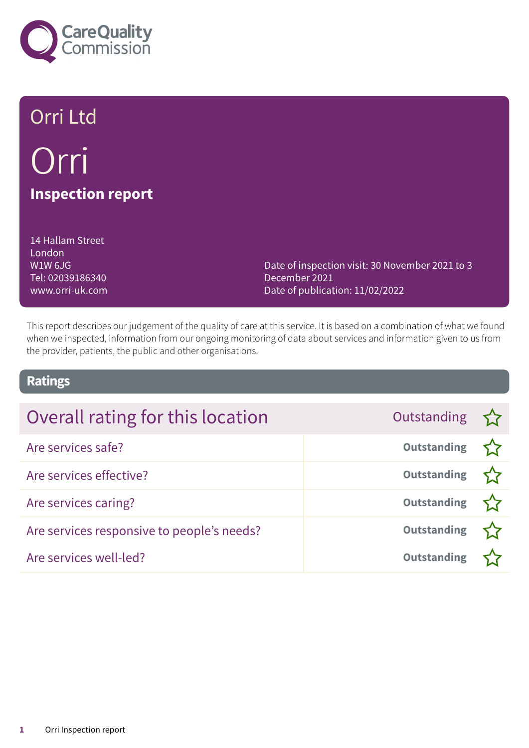

# Orri Ltd Orri **Inspection report**

14 Hallam Street London W1W 6JG Tel: 02039186340 www.orri-uk.com

Date of inspection visit: 30 November 2021 to 3 December 2021 Date of publication: 11/02/2022

This report describes our judgement of the quality of care at this service. It is based on a combination of what we found when we inspected, information from our ongoing monitoring of data about services and information given to us from the provider, patients, the public and other organisations.

### **Ratings**

| Overall rating for this location           | Outstanding        |  |
|--------------------------------------------|--------------------|--|
| Are services safe?                         | Outstanding $\sum$ |  |
| Are services effective?                    | Outstanding $\sum$ |  |
| Are services caring?                       | Outstanding        |  |
| Are services responsive to people's needs? | <b>Outstanding</b> |  |
| Are services well-led?                     | <b>Outstanding</b> |  |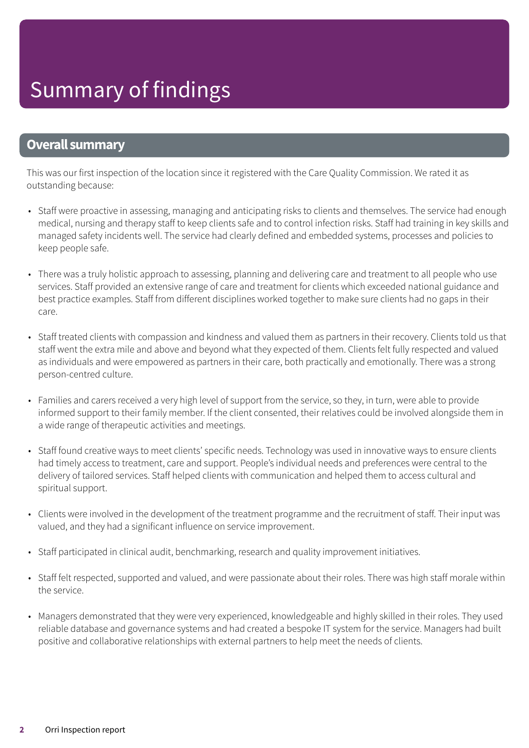### **Overall summary**

This was our first inspection of the location since it registered with the Care Quality Commission. We rated it as outstanding because:

- Staff were proactive in assessing, managing and anticipating risks to clients and themselves. The service had enough medical, nursing and therapy staff to keep clients safe and to control infection risks. Staff had training in key skills and managed safety incidents well. The service had clearly defined and embedded systems, processes and policies to keep people safe.
- There was a truly holistic approach to assessing, planning and delivering care and treatment to all people who use services. Staff provided an extensive range of care and treatment for clients which exceeded national guidance and best practice examples. Staff from different disciplines worked together to make sure clients had no gaps in their care.
- Staff treated clients with compassion and kindness and valued them as partners in their recovery. Clients told us that staff went the extra mile and above and beyond what they expected of them. Clients felt fully respected and valued as individuals and were empowered as partners in their care, both practically and emotionally. There was a strong person-centred culture.
- Families and carers received a very high level of support from the service, so they, in turn, were able to provide informed support to their family member. If the client consented, their relatives could be involved alongside them in a wide range of therapeutic activities and meetings.
- Staff found creative ways to meet clients' specific needs. Technology was used in innovative ways to ensure clients had timely access to treatment, care and support. People's individual needs and preferences were central to the delivery of tailored services. Staff helped clients with communication and helped them to access cultural and spiritual support.
- Clients were involved in the development of the treatment programme and the recruitment of staff. Their input was valued, and they had a significant influence on service improvement.
- Staff participated in clinical audit, benchmarking, research and quality improvement initiatives.
- Staff felt respected, supported and valued, and were passionate about their roles. There was high staff morale within the service.
- Managers demonstrated that they were very experienced, knowledgeable and highly skilled in their roles. They used reliable database and governance systems and had created a bespoke IT system for the service. Managers had built positive and collaborative relationships with external partners to help meet the needs of clients.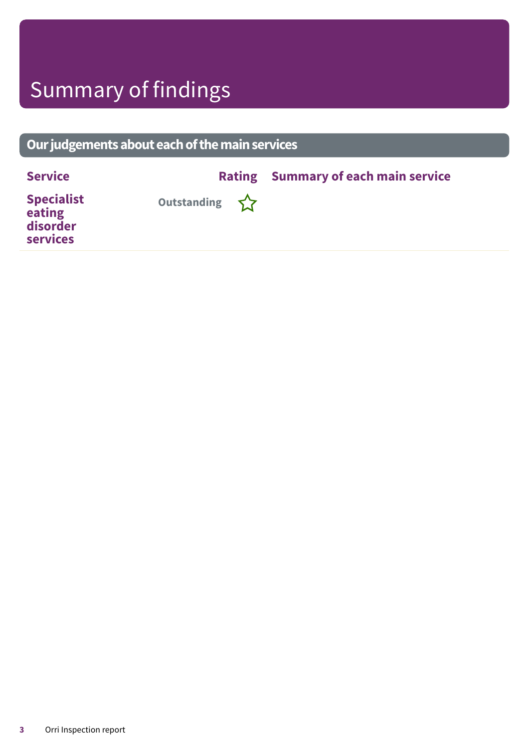# Summary of findings

### **Ourjudgementsabouteachofthemainservices**

| <b>Service</b>                                             |                    | <b>Rating Summary of each main service</b> |
|------------------------------------------------------------|--------------------|--------------------------------------------|
| <b>Specialist</b><br>eating<br>disorder<br><b>services</b> | Outstanding $\sum$ |                                            |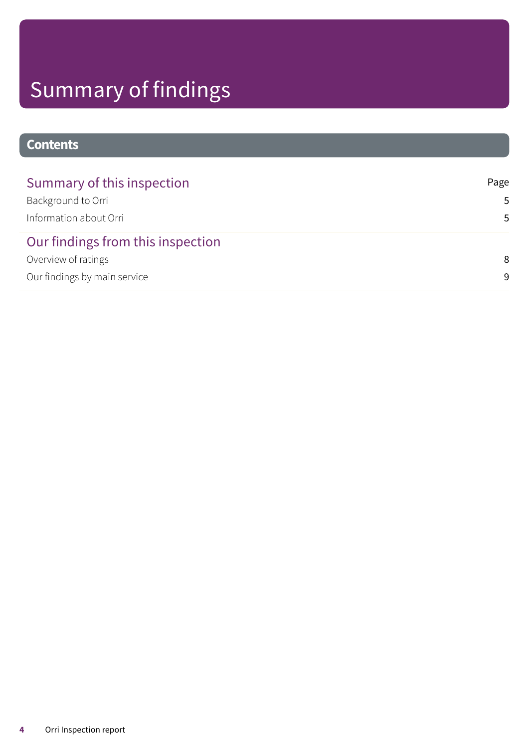# Summary of findings

### **Contents**

| Summary of this inspection        | Page |
|-----------------------------------|------|
| Background to Orri                | .5   |
| Information about Orri            | .5   |
| Our findings from this inspection |      |
| Overview of ratings               | 8    |
| Our findings by main service      | 9    |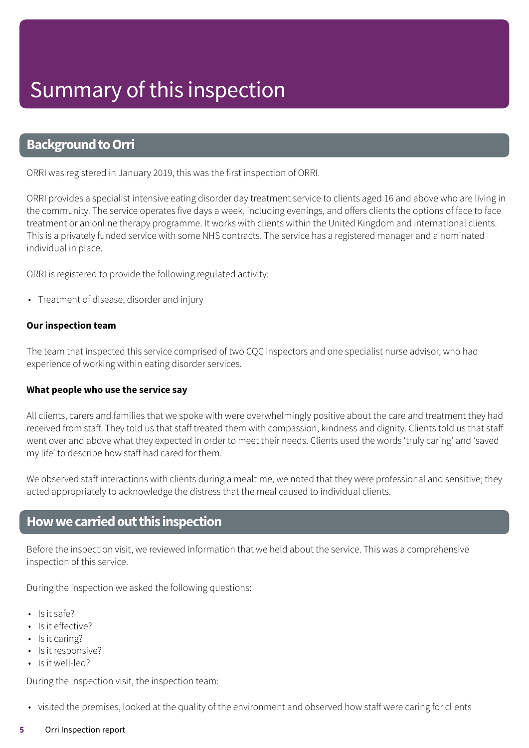### <span id="page-4-0"></span>**Background to Orri**

ORRI was registered in January 2019, this was the first inspection of ORRI.

ORRI provides a specialist intensive eating disorder day treatment service to clients aged 16 and above who are living in the community. The service operates five days a week, including evenings, and offers clients the options of face to face treatment or an online therapy programme. It works with clients within the United Kingdom and international clients. This is a privately funded service with some NHS contracts. The service has a registered manager and a nominated individual in place.

ORRI is registered to provide the following regulated activity:

• Treatment of disease, disorder and injury

#### **Our inspection team**

The team that inspected this service comprised of two CQC inspectors and one specialist nurse advisor, who had experience of working within eating disorder services.

#### **What people who use the service say**

All clients, carers and families that we spoke with were overwhelmingly positive about the care and treatment they had received from staff. They told us that staff treated them with compassion, kindness and dignity. Clients told us that staff went over and above what they expected in order to meet their needs. Clients used the words 'truly caring' and 'saved my life' to describe how staff had cared for them.

We observed staff interactions with clients during a mealtime, we noted that they were professional and sensitive; they acted appropriately to acknowledge the distress that the meal caused to individual clients.

### <span id="page-4-1"></span>**Howwecarriedoutthis inspection**

Before the inspection visit, we reviewed information that we held about the service. This was a comprehensive inspection of this service.

During the inspection we asked the following questions:

- $\cdot$  Is it safe?
- Is it effective?
- Is it caring?
- Is it responsive?
- Is it well-led?

During the inspection visit, the inspection team:

• visited the premises, looked at the quality of the environment and observed how staff were caring for clients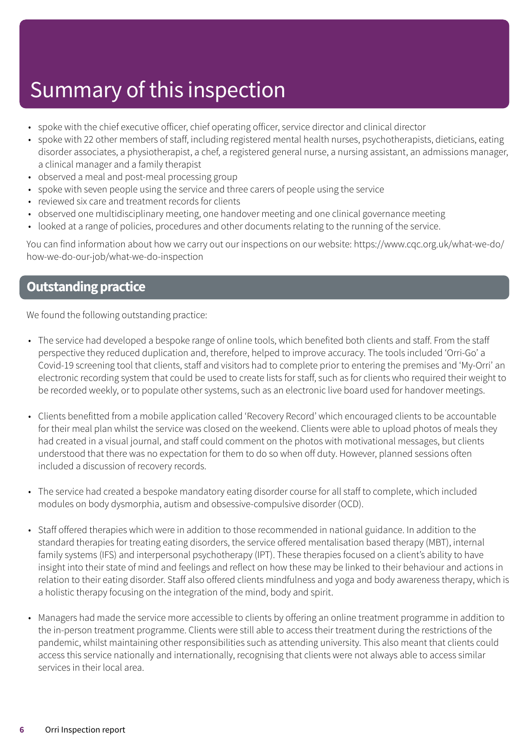# Summary of this inspection

- spoke with the chief executive officer, chief operating officer, service director and clinical director
- spoke with 22 other members of staff, including registered mental health nurses, psychotherapists, dieticians, eating disorder associates, a physiotherapist, a chef, a registered general nurse, a nursing assistant, an admissions manager, a clinical manager and a family therapist
- observed a meal and post-meal processing group
- spoke with seven people using the service and three carers of people using the service
- reviewed six care and treatment records for clients
- observed one multidisciplinary meeting, one handover meeting and one clinical governance meeting
- looked at a range of policies, procedures and other documents relating to the running of the service.

You can find information about how we carry out our inspections on our website: https://www.cqc.org.uk/what-we-do/ how-we-do-our-job/what-we-do-inspection

### **Outstanding practice**

We found the following outstanding practice:

- The service had developed a bespoke range of online tools, which benefited both clients and staff. From the staff perspective they reduced duplication and, therefore, helped to improve accuracy. The tools included 'Orri-Go' a Covid-19 screening tool that clients, staff and visitors had to complete prior to entering the premises and 'My-Orri' an electronic recording system that could be used to create lists for staff, such as for clients who required their weight to be recorded weekly, or to populate other systems, such as an electronic live board used for handover meetings.
- Clients benefitted from a mobile application called 'Recovery Record' which encouraged clients to be accountable for their meal plan whilst the service was closed on the weekend. Clients were able to upload photos of meals they had created in a visual journal, and staff could comment on the photos with motivational messages, but clients understood that there was no expectation for them to do so when off duty. However, planned sessions often included a discussion of recovery records.
- The service had created a bespoke mandatory eating disorder course for all staff to complete, which included modules on body dysmorphia, autism and obsessive-compulsive disorder (OCD).
- Staff offered therapies which were in addition to those recommended in national guidance. In addition to the standard therapies for treating eating disorders, the service offered mentalisation based therapy (MBT), internal family systems (IFS) and interpersonal psychotherapy (IPT). These therapies focused on a client's ability to have insight into their state of mind and feelings and reflect on how these may be linked to their behaviour and actions in relation to their eating disorder. Staff also offered clients mindfulness and yoga and body awareness therapy, which is a holistic therapy focusing on the integration of the mind, body and spirit.
- Managers had made the service more accessible to clients by offering an online treatment programme in addition to the in-person treatment programme. Clients were still able to access their treatment during the restrictions of the pandemic, whilst maintaining other responsibilities such as attending university. This also meant that clients could access this service nationally and internationally, recognising that clients were not always able to access similar services in their local area.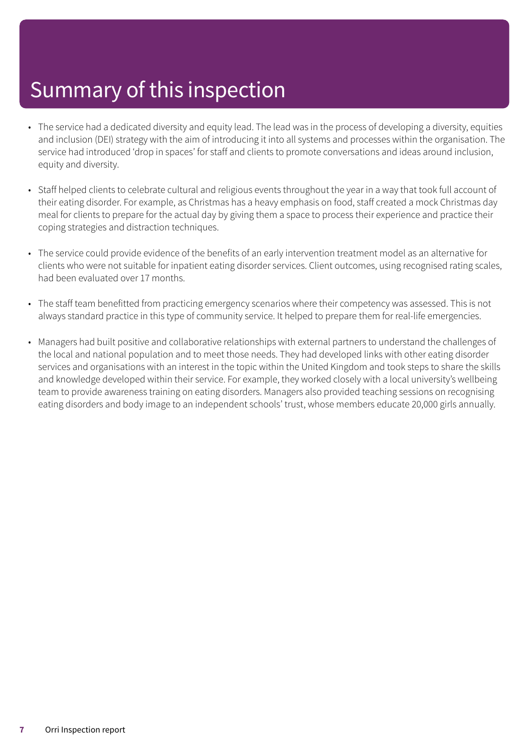# Summary of this inspection

- The service had a dedicated diversity and equity lead. The lead was in the process of developing a diversity, equities and inclusion (DEI) strategy with the aim of introducing it into all systems and processes within the organisation. The service had introduced 'drop in spaces' for staff and clients to promote conversations and ideas around inclusion, equity and diversity.
- Staff helped clients to celebrate cultural and religious events throughout the year in a way that took full account of their eating disorder. For example, as Christmas has a heavy emphasis on food, staff created a mock Christmas day meal for clients to prepare for the actual day by giving them a space to process their experience and practice their coping strategies and distraction techniques.
- The service could provide evidence of the benefits of an early intervention treatment model as an alternative for clients who were not suitable for inpatient eating disorder services. Client outcomes, using recognised rating scales, had been evaluated over 17 months.
- The staff team benefitted from practicing emergency scenarios where their competency was assessed. This is not always standard practice in this type of community service. It helped to prepare them for real-life emergencies.
- Managers had built positive and collaborative relationships with external partners to understand the challenges of the local and national population and to meet those needs. They had developed links with other eating disorder services and organisations with an interest in the topic within the United Kingdom and took steps to share the skills and knowledge developed within their service. For example, they worked closely with a local university's wellbeing team to provide awareness training on eating disorders. Managers also provided teaching sessions on recognising eating disorders and body image to an independent schools' trust, whose members educate 20,000 girls annually.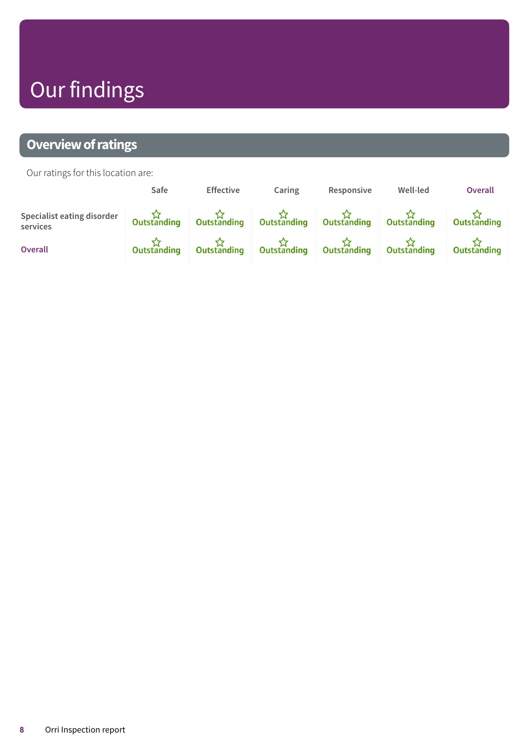# Our findings

### <span id="page-7-0"></span>**Overview of ratings**

Our ratings for this location are:

|                                        | Safe | <b>Effective</b> | Caring | Responsive | Well-led                                                                                        | Overall |
|----------------------------------------|------|------------------|--------|------------|-------------------------------------------------------------------------------------------------|---------|
| Specialist eating disorder<br>services |      |                  |        |            | Outstanding Outstanding Outstanding Outstanding Outstanding Outstanding Outstanding Outstanding |         |
| <b>Overall</b>                         |      |                  |        |            | Outstanding Outstanding Outstanding Outstanding Outstanding Outstanding Outstanding             |         |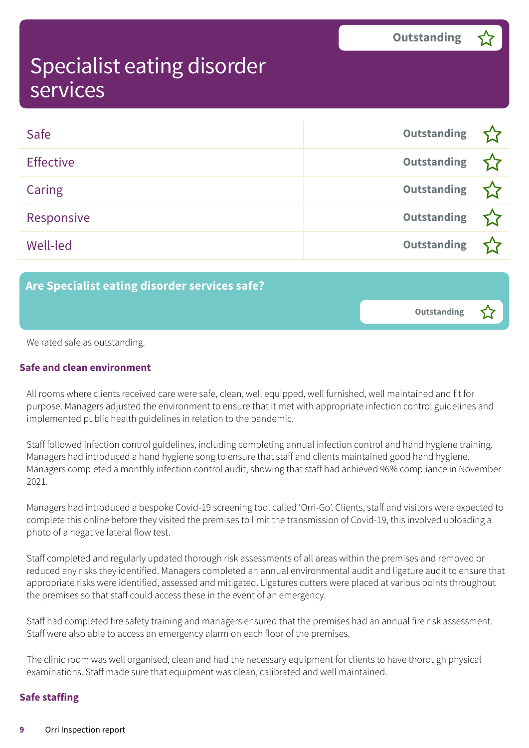<span id="page-8-0"></span>

| Safe             | Outstanding        |  |
|------------------|--------------------|--|
| <b>Effective</b> | Outstanding        |  |
| Caring           | Outstanding        |  |
| Responsive       | Outstanding        |  |
| Well-led         | <b>Outstanding</b> |  |

### **Are Specialist eating disorder services safe?**

**Outstanding –**

We rated safe as outstanding.

#### **Safe and clean environment**

All rooms where clients received care were safe, clean, well equipped, well furnished, well maintained and fit for purpose. Managers adjusted the environment to ensure that it met with appropriate infection control guidelines and implemented public health guidelines in relation to the pandemic.

Staff followed infection control guidelines, including completing annual infection control and hand hygiene training. Managers had introduced a hand hygiene song to ensure that staff and clients maintained good hand hygiene. Managers completed a monthly infection control audit, showing that staff had achieved 96% compliance in November 2021.

Managers had introduced a bespoke Covid-19 screening tool called 'Orri-Go'. Clients, staff and visitors were expected to complete this online before they visited the premises to limit the transmission of Covid-19, this involved uploading a photo of a negative lateral flow test.

Staff completed and regularly updated thorough risk assessments of all areas within the premises and removed or reduced any risks they identified. Managers completed an annual environmental audit and ligature audit to ensure that appropriate risks were identified, assessed and mitigated. Ligatures cutters were placed at various points throughout the premises so that staff could access these in the event of an emergency.

Staff had completed fire safety training and managers ensured that the premises had an annual fire risk assessment. Staff were also able to access an emergency alarm on each floor of the premises.

The clinic room was well organised, clean and had the necessary equipment for clients to have thorough physical examinations. Staff made sure that equipment was clean, calibrated and well maintained.

#### **Safe staffing**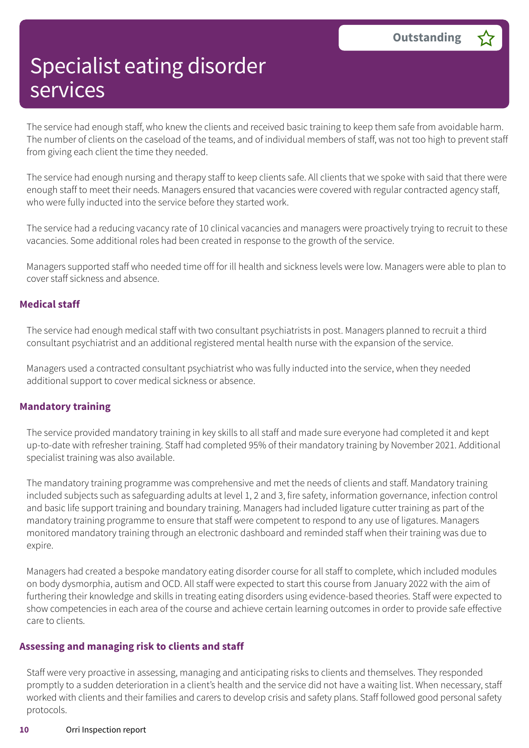The service had enough staff, who knew the clients and received basic training to keep them safe from avoidable harm. The number of clients on the caseload of the teams, and of individual members of staff, was not too high to prevent staff from giving each client the time they needed.

The service had enough nursing and therapy staff to keep clients safe. All clients that we spoke with said that there were enough staff to meet their needs. Managers ensured that vacancies were covered with regular contracted agency staff, who were fully inducted into the service before they started work.

The service had a reducing vacancy rate of 10 clinical vacancies and managers were proactively trying to recruit to these vacancies. Some additional roles had been created in response to the growth of the service.

Managers supported staff who needed time off for ill health and sickness levels were low. Managers were able to plan to cover staff sickness and absence.

#### **Medical staff**

The service had enough medical staff with two consultant psychiatrists in post. Managers planned to recruit a third consultant psychiatrist and an additional registered mental health nurse with the expansion of the service.

Managers used a contracted consultant psychiatrist who was fully inducted into the service, when they needed additional support to cover medical sickness or absence.

#### **Mandatory training**

The service provided mandatory training in key skills to all staff and made sure everyone had completed it and kept up-to-date with refresher training. Staff had completed 95% of their mandatory training by November 2021. Additional specialist training was also available.

The mandatory training programme was comprehensive and met the needs of clients and staff. Mandatory training included subjects such as safeguarding adults at level 1, 2 and 3, fire safety, information governance, infection control and basic life support training and boundary training. Managers had included ligature cutter training as part of the mandatory training programme to ensure that staff were competent to respond to any use of ligatures. Managers monitored mandatory training through an electronic dashboard and reminded staff when their training was due to expire.

Managers had created a bespoke mandatory eating disorder course for all staff to complete, which included modules on body dysmorphia, autism and OCD. All staff were expected to start this course from January 2022 with the aim of furthering their knowledge and skills in treating eating disorders using evidence-based theories. Staff were expected to show competencies in each area of the course and achieve certain learning outcomes in order to provide safe effective care to clients.

#### **Assessing and managing risk to clients and staff**

Staff were very proactive in assessing, managing and anticipating risks to clients and themselves. They responded promptly to a sudden deterioration in a client's health and the service did not have a waiting list. When necessary, staff worked with clients and their families and carers to develop crisis and safety plans. Staff followed good personal safety protocols.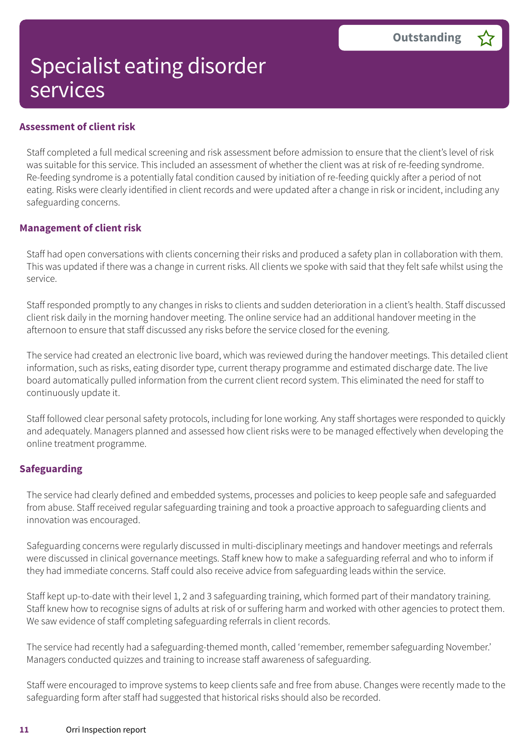#### **Assessment of client risk**

Staff completed a full medical screening and risk assessment before admission to ensure that the client's level of risk was suitable for this service. This included an assessment of whether the client was at risk of re-feeding syndrome. Re-feeding syndrome is a potentially fatal condition caused by initiation of re-feeding quickly after a period of not eating. Risks were clearly identified in client records and were updated after a change in risk or incident, including any safeguarding concerns.

#### **Management of client risk**

Staff had open conversations with clients concerning their risks and produced a safety plan in collaboration with them. This was updated if there was a change in current risks. All clients we spoke with said that they felt safe whilst using the service.

Staff responded promptly to any changes in risks to clients and sudden deterioration in a client's health. Staff discussed client risk daily in the morning handover meeting. The online service had an additional handover meeting in the afternoon to ensure that staff discussed any risks before the service closed for the evening.

The service had created an electronic live board, which was reviewed during the handover meetings. This detailed client information, such as risks, eating disorder type, current therapy programme and estimated discharge date. The live board automatically pulled information from the current client record system. This eliminated the need for staff to continuously update it.

Staff followed clear personal safety protocols, including for lone working. Any staff shortages were responded to quickly and adequately. Managers planned and assessed how client risks were to be managed effectively when developing the online treatment programme.

#### **Safeguarding**

The service had clearly defined and embedded systems, processes and policies to keep people safe and safeguarded from abuse. Staff received regular safeguarding training and took a proactive approach to safeguarding clients and innovation was encouraged.

Safeguarding concerns were regularly discussed in multi-disciplinary meetings and handover meetings and referrals were discussed in clinical governance meetings. Staff knew how to make a safeguarding referral and who to inform if they had immediate concerns. Staff could also receive advice from safeguarding leads within the service.

Staff kept up-to-date with their level 1, 2 and 3 safeguarding training, which formed part of their mandatory training. Staff knew how to recognise signs of adults at risk of or suffering harm and worked with other agencies to protect them. We saw evidence of staff completing safeguarding referrals in client records.

The service had recently had a safeguarding-themed month, called 'remember, remember safeguarding November.' Managers conducted quizzes and training to increase staff awareness of safeguarding.

Staff were encouraged to improve systems to keep clients safe and free from abuse. Changes were recently made to the safeguarding form after staff had suggested that historical risks should also be recorded.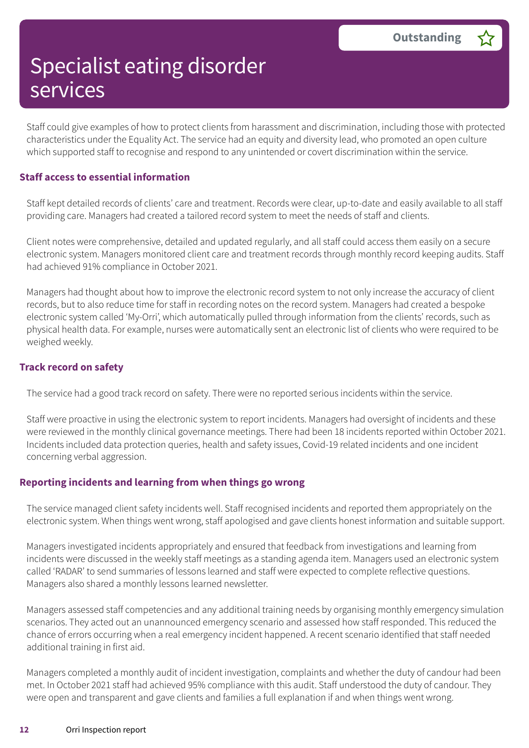Staff could give examples of how to protect clients from harassment and discrimination, including those with protected characteristics under the Equality Act. The service had an equity and diversity lead, who promoted an open culture which supported staff to recognise and respond to any unintended or covert discrimination within the service.

#### **Staff access to essential information**

Staff kept detailed records of clients' care and treatment. Records were clear, up-to-date and easily available to all staff providing care. Managers had created a tailored record system to meet the needs of staff and clients.

Client notes were comprehensive, detailed and updated regularly, and all staff could access them easily on a secure electronic system. Managers monitored client care and treatment records through monthly record keeping audits. Staff had achieved 91% compliance in October 2021.

Managers had thought about how to improve the electronic record system to not only increase the accuracy of client records, but to also reduce time for staff in recording notes on the record system. Managers had created a bespoke electronic system called 'My-Orri', which automatically pulled through information from the clients' records, such as physical health data. For example, nurses were automatically sent an electronic list of clients who were required to be weighed weekly.

#### **Track record on safety**

The service had a good track record on safety. There were no reported serious incidents within the service.

Staff were proactive in using the electronic system to report incidents. Managers had oversight of incidents and these were reviewed in the monthly clinical governance meetings. There had been 18 incidents reported within October 2021. Incidents included data protection queries, health and safety issues, Covid-19 related incidents and one incident concerning verbal aggression.

#### **Reporting incidents and learning from when things go wrong**

The service managed client safety incidents well. Staff recognised incidents and reported them appropriately on the electronic system. When things went wrong, staff apologised and gave clients honest information and suitable support.

Managers investigated incidents appropriately and ensured that feedback from investigations and learning from incidents were discussed in the weekly staff meetings as a standing agenda item. Managers used an electronic system called 'RADAR' to send summaries of lessons learned and staff were expected to complete reflective questions. Managers also shared a monthly lessons learned newsletter.

Managers assessed staff competencies and any additional training needs by organising monthly emergency simulation scenarios. They acted out an unannounced emergency scenario and assessed how staff responded. This reduced the chance of errors occurring when a real emergency incident happened. A recent scenario identified that staff needed additional training in first aid.

Managers completed a monthly audit of incident investigation, complaints and whether the duty of candour had been met. In October 2021 staff had achieved 95% compliance with this audit. Staff understood the duty of candour. They were open and transparent and gave clients and families a full explanation if and when things went wrong.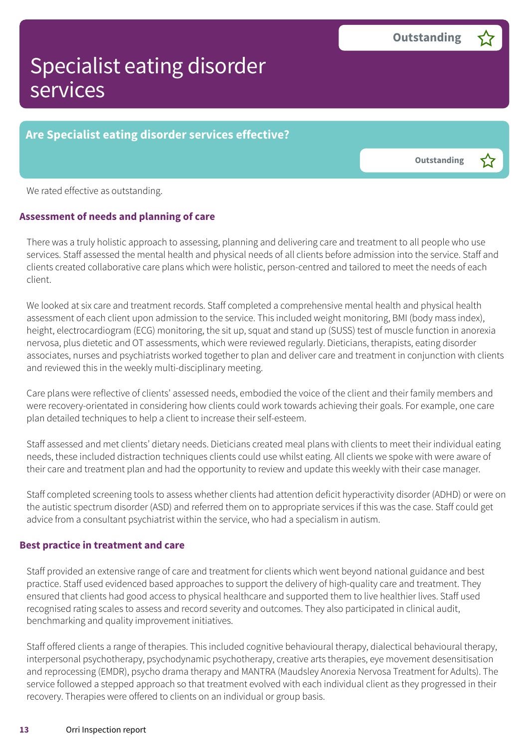### **Are Specialist eating disorder services effective?**

**Outstanding –**

We rated effective as outstanding.

#### **Assessment of needs and planning of care**

There was a truly holistic approach to assessing, planning and delivering care and treatment to all people who use services. Staff assessed the mental health and physical needs of all clients before admission into the service. Staff and clients created collaborative care plans which were holistic, person-centred and tailored to meet the needs of each client.

We looked at six care and treatment records. Staff completed a comprehensive mental health and physical health assessment of each client upon admission to the service. This included weight monitoring, BMI (body mass index), height, electrocardiogram (ECG) monitoring, the sit up, squat and stand up (SUSS) test of muscle function in anorexia nervosa, plus dietetic and OT assessments, which were reviewed regularly. Dieticians, therapists, eating disorder associates, nurses and psychiatrists worked together to plan and deliver care and treatment in conjunction with clients and reviewed this in the weekly multi-disciplinary meeting.

Care plans were reflective of clients' assessed needs, embodied the voice of the client and their family members and were recovery-orientated in considering how clients could work towards achieving their goals. For example, one care plan detailed techniques to help a client to increase their self-esteem.

Staff assessed and met clients' dietary needs. Dieticians created meal plans with clients to meet their individual eating needs, these included distraction techniques clients could use whilst eating. All clients we spoke with were aware of their care and treatment plan and had the opportunity to review and update this weekly with their case manager.

Staff completed screening tools to assess whether clients had attention deficit hyperactivity disorder (ADHD) or were on the autistic spectrum disorder (ASD) and referred them on to appropriate services if this was the case. Staff could get advice from a consultant psychiatrist within the service, who had a specialism in autism.

#### **Best practice in treatment and care**

Staff provided an extensive range of care and treatment for clients which went beyond national guidance and best practice. Staff used evidenced based approaches to support the delivery of high-quality care and treatment. They ensured that clients had good access to physical healthcare and supported them to live healthier lives. Staff used recognised rating scales to assess and record severity and outcomes. They also participated in clinical audit, benchmarking and quality improvement initiatives.

Staff offered clients a range of therapies. This included cognitive behavioural therapy, dialectical behavioural therapy, interpersonal psychotherapy, psychodynamic psychotherapy, creative arts therapies, eye movement desensitisation and reprocessing (EMDR), psycho drama therapy and MANTRA (Maudsley Anorexia Nervosa Treatment for Adults). The service followed a stepped approach so that treatment evolved with each individual client as they progressed in their recovery. Therapies were offered to clients on an individual or group basis.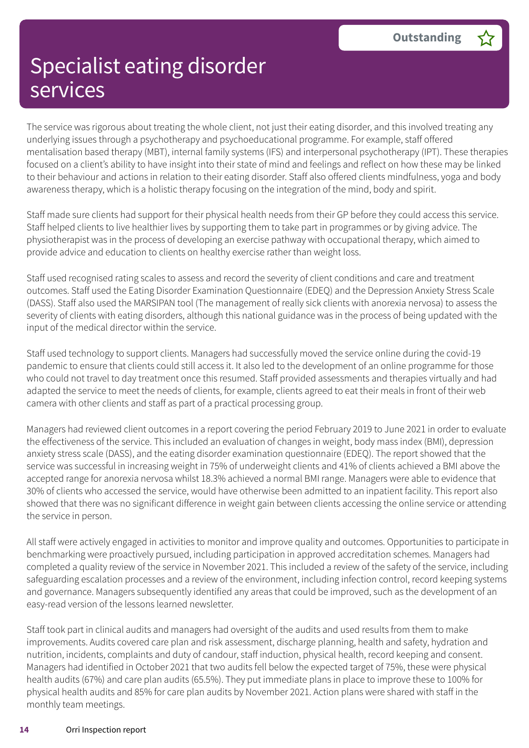The service was rigorous about treating the whole client, not just their eating disorder, and this involved treating any underlying issues through a psychotherapy and psychoeducational programme. For example, staff offered mentalisation based therapy (MBT), internal family systems (IFS) and interpersonal psychotherapy (IPT). These therapies focused on a client's ability to have insight into their state of mind and feelings and reflect on how these may be linked to their behaviour and actions in relation to their eating disorder. Staff also offered clients mindfulness, yoga and body awareness therapy, which is a holistic therapy focusing on the integration of the mind, body and spirit.

Staff made sure clients had support for their physical health needs from their GP before they could access this service. Staff helped clients to live healthier lives by supporting them to take part in programmes or by giving advice. The physiotherapist was in the process of developing an exercise pathway with occupational therapy, which aimed to provide advice and education to clients on healthy exercise rather than weight loss.

Staff used recognised rating scales to assess and record the severity of client conditions and care and treatment outcomes. Staff used the Eating Disorder Examination Questionnaire (EDEQ) and the Depression Anxiety Stress Scale (DASS). Staff also used the MARSIPAN tool (The management of really sick clients with anorexia nervosa) to assess the severity of clients with eating disorders, although this national guidance was in the process of being updated with the input of the medical director within the service.

Staff used technology to support clients. Managers had successfully moved the service online during the covid-19 pandemic to ensure that clients could still access it. It also led to the development of an online programme for those who could not travel to day treatment once this resumed. Staff provided assessments and therapies virtually and had adapted the service to meet the needs of clients, for example, clients agreed to eat their meals in front of their web camera with other clients and staff as part of a practical processing group.

Managers had reviewed client outcomes in a report covering the period February 2019 to June 2021 in order to evaluate the effectiveness of the service. This included an evaluation of changes in weight, body mass index (BMI), depression anxiety stress scale (DASS), and the eating disorder examination questionnaire (EDEQ). The report showed that the service was successful in increasing weight in 75% of underweight clients and 41% of clients achieved a BMI above the accepted range for anorexia nervosa whilst 18.3% achieved a normal BMI range. Managers were able to evidence that 30% of clients who accessed the service, would have otherwise been admitted to an inpatient facility. This report also showed that there was no significant difference in weight gain between clients accessing the online service or attending the service in person.

All staff were actively engaged in activities to monitor and improve quality and outcomes. Opportunities to participate in benchmarking were proactively pursued, including participation in approved accreditation schemes. Managers had completed a quality review of the service in November 2021. This included a review of the safety of the service, including safeguarding escalation processes and a review of the environment, including infection control, record keeping systems and governance. Managers subsequently identified any areas that could be improved, such as the development of an easy-read version of the lessons learned newsletter.

Staff took part in clinical audits and managers had oversight of the audits and used results from them to make improvements. Audits covered care plan and risk assessment, discharge planning, health and safety, hydration and nutrition, incidents, complaints and duty of candour, staff induction, physical health, record keeping and consent. Managers had identified in October 2021 that two audits fell below the expected target of 75%, these were physical health audits (67%) and care plan audits (65.5%). They put immediate plans in place to improve these to 100% for physical health audits and 85% for care plan audits by November 2021. Action plans were shared with staff in the monthly team meetings.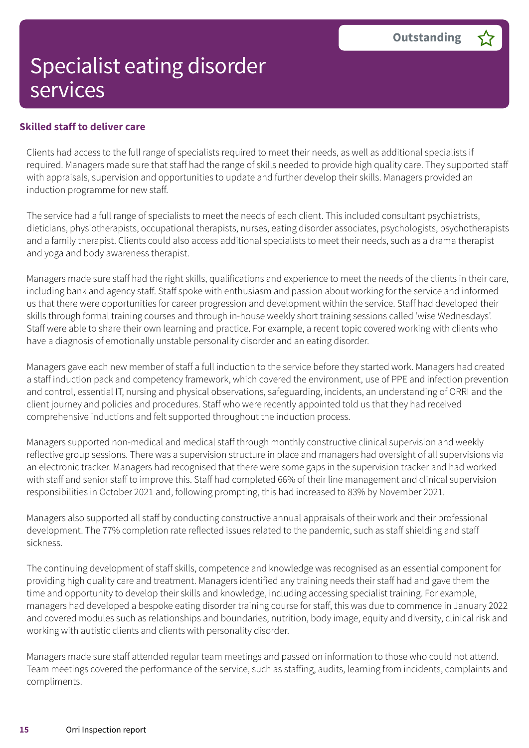#### **Skilled staff to deliver care**

Clients had access to the full range of specialists required to meet their needs, as well as additional specialists if required. Managers made sure that staff had the range of skills needed to provide high quality care. They supported staff with appraisals, supervision and opportunities to update and further develop their skills. Managers provided an induction programme for new staff.

The service had a full range of specialists to meet the needs of each client. This included consultant psychiatrists, dieticians, physiotherapists, occupational therapists, nurses, eating disorder associates, psychologists, psychotherapists and a family therapist. Clients could also access additional specialists to meet their needs, such as a drama therapist and yoga and body awareness therapist.

Managers made sure staff had the right skills, qualifications and experience to meet the needs of the clients in their care, including bank and agency staff. Staff spoke with enthusiasm and passion about working for the service and informed us that there were opportunities for career progression and development within the service. Staff had developed their skills through formal training courses and through in-house weekly short training sessions called 'wise Wednesdays'. Staff were able to share their own learning and practice. For example, a recent topic covered working with clients who have a diagnosis of emotionally unstable personality disorder and an eating disorder.

Managers gave each new member of staff a full induction to the service before they started work. Managers had created a staff induction pack and competency framework, which covered the environment, use of PPE and infection prevention and control, essential IT, nursing and physical observations, safeguarding, incidents, an understanding of ORRI and the client journey and policies and procedures. Staff who were recently appointed told us that they had received comprehensive inductions and felt supported throughout the induction process.

Managers supported non-medical and medical staff through monthly constructive clinical supervision and weekly reflective group sessions. There was a supervision structure in place and managers had oversight of all supervisions via an electronic tracker. Managers had recognised that there were some gaps in the supervision tracker and had worked with staff and senior staff to improve this. Staff had completed 66% of their line management and clinical supervision responsibilities in October 2021 and, following prompting, this had increased to 83% by November 2021.

Managers also supported all staff by conducting constructive annual appraisals of their work and their professional development. The 77% completion rate reflected issues related to the pandemic, such as staff shielding and staff sickness.

The continuing development of staff skills, competence and knowledge was recognised as an essential component for providing high quality care and treatment. Managers identified any training needs their staff had and gave them the time and opportunity to develop their skills and knowledge, including accessing specialist training. For example, managers had developed a bespoke eating disorder training course for staff, this was due to commence in January 2022 and covered modules such as relationships and boundaries, nutrition, body image, equity and diversity, clinical risk and working with autistic clients and clients with personality disorder.

Managers made sure staff attended regular team meetings and passed on information to those who could not attend. Team meetings covered the performance of the service, such as staffing, audits, learning from incidents, complaints and compliments.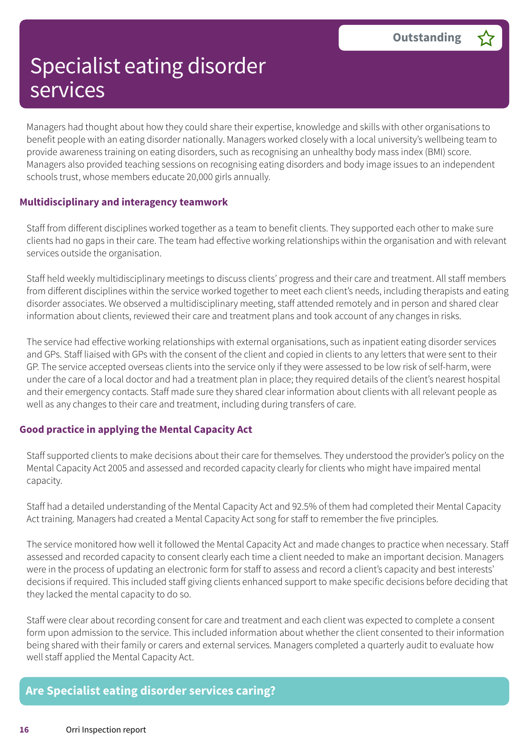Managers had thought about how they could share their expertise, knowledge and skills with other organisations to benefit people with an eating disorder nationally. Managers worked closely with a local university's wellbeing team to provide awareness training on eating disorders, such as recognising an unhealthy body mass index (BMI) score. Managers also provided teaching sessions on recognising eating disorders and body image issues to an independent schools trust, whose members educate 20,000 girls annually.

#### **Multidisciplinary and interagency teamwork**

Staff from different disciplines worked together as a team to benefit clients. They supported each other to make sure clients had no gaps in their care. The team had effective working relationships within the organisation and with relevant services outside the organisation.

Staff held weekly multidisciplinary meetings to discuss clients' progress and their care and treatment. All staff members from different disciplines within the service worked together to meet each client's needs, including therapists and eating disorder associates. We observed a multidisciplinary meeting, staff attended remotely and in person and shared clear information about clients, reviewed their care and treatment plans and took account of any changes in risks.

The service had effective working relationships with external organisations, such as inpatient eating disorder services and GPs. Staff liaised with GPs with the consent of the client and copied in clients to any letters that were sent to their GP. The service accepted overseas clients into the service only if they were assessed to be low risk of self-harm, were under the care of a local doctor and had a treatment plan in place; they required details of the client's nearest hospital and their emergency contacts. Staff made sure they shared clear information about clients with all relevant people as well as any changes to their care and treatment, including during transfers of care.

#### **Good practice in applying the Mental Capacity Act**

Staff supported clients to make decisions about their care for themselves. They understood the provider's policy on the Mental Capacity Act 2005 and assessed and recorded capacity clearly for clients who might have impaired mental capacity.

Staff had a detailed understanding of the Mental Capacity Act and 92.5% of them had completed their Mental Capacity Act training. Managers had created a Mental Capacity Act song for staff to remember the five principles.

The service monitored how well it followed the Mental Capacity Act and made changes to practice when necessary. Staff assessed and recorded capacity to consent clearly each time a client needed to make an important decision. Managers were in the process of updating an electronic form for staff to assess and record a client's capacity and best interests' decisions if required. This included staff giving clients enhanced support to make specific decisions before deciding that they lacked the mental capacity to do so.

Staff were clear about recording consent for care and treatment and each client was expected to complete a consent form upon admission to the service. This included information about whether the client consented to their information being shared with their family or carers and external services. Managers completed a quarterly audit to evaluate how well staff applied the Mental Capacity Act.

#### **Are Specialist eating disorder services caring?**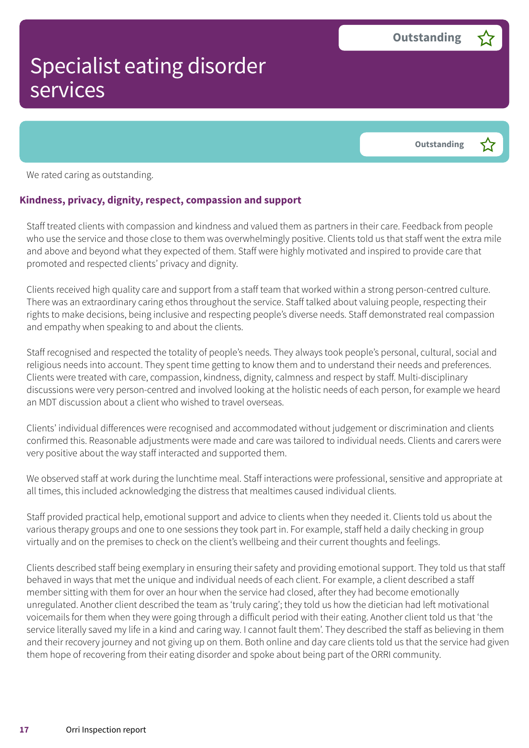**Outstanding –**

We rated caring as outstanding.

#### **Kindness, privacy, dignity, respect, compassion and support**

Staff treated clients with compassion and kindness and valued them as partners in their care. Feedback from people who use the service and those close to them was overwhelmingly positive. Clients told us that staff went the extra mile and above and beyond what they expected of them. Staff were highly motivated and inspired to provide care that promoted and respected clients' privacy and dignity.

Clients received high quality care and support from a staff team that worked within a strong person-centred culture. There was an extraordinary caring ethos throughout the service. Staff talked about valuing people, respecting their rights to make decisions, being inclusive and respecting people's diverse needs. Staff demonstrated real compassion and empathy when speaking to and about the clients.

Staff recognised and respected the totality of people's needs. They always took people's personal, cultural, social and religious needs into account. They spent time getting to know them and to understand their needs and preferences. Clients were treated with care, compassion, kindness, dignity, calmness and respect by staff. Multi-disciplinary discussions were very person-centred and involved looking at the holistic needs of each person, for example we heard an MDT discussion about a client who wished to travel overseas.

Clients' individual differences were recognised and accommodated without judgement or discrimination and clients confirmed this. Reasonable adjustments were made and care was tailored to individual needs. Clients and carers were very positive about the way staff interacted and supported them.

We observed staff at work during the lunchtime meal. Staff interactions were professional, sensitive and appropriate at all times, this included acknowledging the distress that mealtimes caused individual clients.

Staff provided practical help, emotional support and advice to clients when they needed it. Clients told us about the various therapy groups and one to one sessions they took part in. For example, staff held a daily checking in group virtually and on the premises to check on the client's wellbeing and their current thoughts and feelings.

Clients described staff being exemplary in ensuring their safety and providing emotional support. They told us that staff behaved in ways that met the unique and individual needs of each client. For example, a client described a staff member sitting with them for over an hour when the service had closed, after they had become emotionally unregulated. Another client described the team as 'truly caring'; they told us how the dietician had left motivational voicemails for them when they were going through a difficult period with their eating. Another client told us that 'the service literally saved my life in a kind and caring way. I cannot fault them'. They described the staff as believing in them and their recovery journey and not giving up on them. Both online and day care clients told us that the service had given them hope of recovering from their eating disorder and spoke about being part of the ORRI community.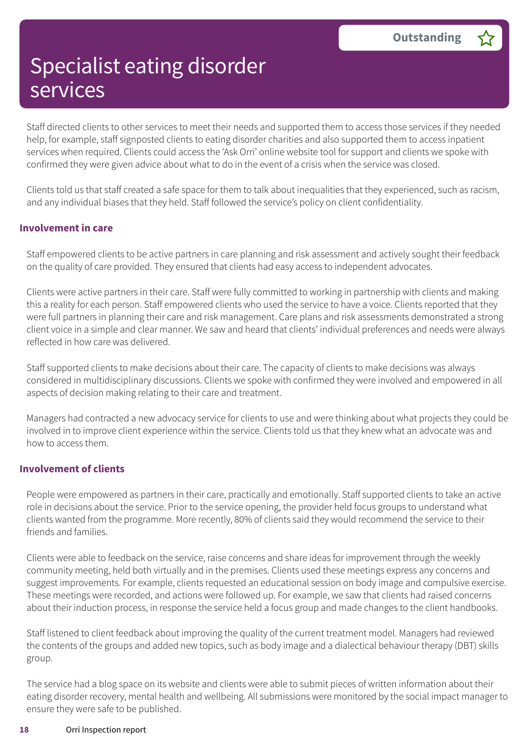Staff directed clients to other services to meet their needs and supported them to access those services if they needed help, for example, staff signposted clients to eating disorder charities and also supported them to access inpatient services when required. Clients could access the 'Ask Orri' online website tool for support and clients we spoke with confirmed they were given advice about what to do in the event of a crisis when the service was closed.

Clients told us that staff created a safe space for them to talk about inequalities that they experienced, such as racism, and any individual biases that they held. Staff followed the service's policy on client confidentiality.

#### **Involvement in care**

Staff empowered clients to be active partners in care planning and risk assessment and actively sought their feedback on the quality of care provided. They ensured that clients had easy access to independent advocates.

Clients were active partners in their care. Staff were fully committed to working in partnership with clients and making this a reality for each person. Staff empowered clients who used the service to have a voice. Clients reported that they were full partners in planning their care and risk management. Care plans and risk assessments demonstrated a strong client voice in a simple and clear manner. We saw and heard that clients' individual preferences and needs were always reflected in how care was delivered.

Staff supported clients to make decisions about their care. The capacity of clients to make decisions was always considered in multidisciplinary discussions. Clients we spoke with confirmed they were involved and empowered in all aspects of decision making relating to their care and treatment.

Managers had contracted a new advocacy service for clients to use and were thinking about what projects they could be involved in to improve client experience within the service. Clients told us that they knew what an advocate was and how to access them.

#### **Involvement of clients**

People were empowered as partners in their care, practically and emotionally. Staff supported clients to take an active role in decisions about the service. Prior to the service opening, the provider held focus groups to understand what clients wanted from the programme. More recently, 80% of clients said they would recommend the service to their friends and families.

Clients were able to feedback on the service, raise concerns and share ideas for improvement through the weekly community meeting, held both virtually and in the premises. Clients used these meetings express any concerns and suggest improvements. For example, clients requested an educational session on body image and compulsive exercise. These meetings were recorded, and actions were followed up. For example, we saw that clients had raised concerns about their induction process, in response the service held a focus group and made changes to the client handbooks.

Staff listened to client feedback about improving the quality of the current treatment model. Managers had reviewed the contents of the groups and added new topics, such as body image and a dialectical behaviour therapy (DBT) skills group.

The service had a blog space on its website and clients were able to submit pieces of written information about their eating disorder recovery, mental health and wellbeing. All submissions were monitored by the social impact manager to ensure they were safe to be published.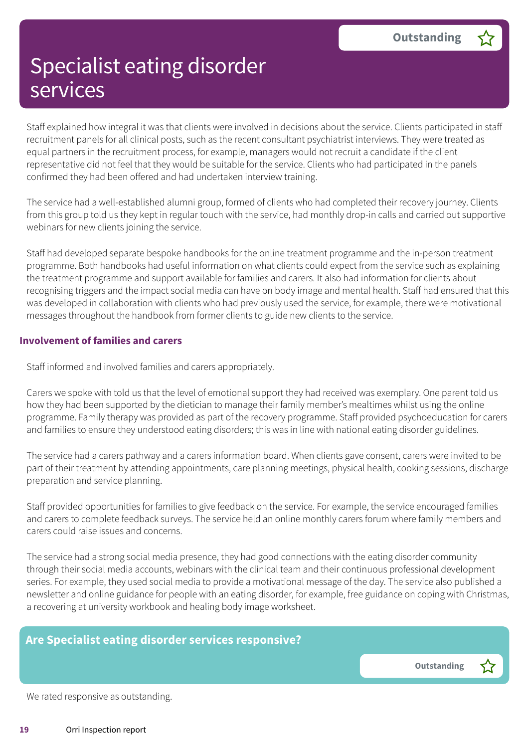Staff explained how integral it was that clients were involved in decisions about the service. Clients participated in staff recruitment panels for all clinical posts, such as the recent consultant psychiatrist interviews. They were treated as equal partners in the recruitment process, for example, managers would not recruit a candidate if the client representative did not feel that they would be suitable for the service. Clients who had participated in the panels confirmed they had been offered and had undertaken interview training.

The service had a well-established alumni group, formed of clients who had completed their recovery journey. Clients from this group told us they kept in regular touch with the service, had monthly drop-in calls and carried out supportive webinars for new clients joining the service.

Staff had developed separate bespoke handbooks for the online treatment programme and the in-person treatment programme. Both handbooks had useful information on what clients could expect from the service such as explaining the treatment programme and support available for families and carers. It also had information for clients about recognising triggers and the impact social media can have on body image and mental health. Staff had ensured that this was developed in collaboration with clients who had previously used the service, for example, there were motivational messages throughout the handbook from former clients to guide new clients to the service.

#### **Involvement of families and carers**

Staff informed and involved families and carers appropriately.

Carers we spoke with told us that the level of emotional support they had received was exemplary. One parent told us how they had been supported by the dietician to manage their family member's mealtimes whilst using the online programme. Family therapy was provided as part of the recovery programme. Staff provided psychoeducation for carers and families to ensure they understood eating disorders; this was in line with national eating disorder guidelines.

The service had a carers pathway and a carers information board. When clients gave consent, carers were invited to be part of their treatment by attending appointments, care planning meetings, physical health, cooking sessions, discharge preparation and service planning.

Staff provided opportunities for families to give feedback on the service. For example, the service encouraged families and carers to complete feedback surveys. The service held an online monthly carers forum where family members and carers could raise issues and concerns.

The service had a strong social media presence, they had good connections with the eating disorder community through their social media accounts, webinars with the clinical team and their continuous professional development series. For example, they used social media to provide a motivational message of the day. The service also published a newsletter and online guidance for people with an eating disorder, for example, free guidance on coping with Christmas, a recovering at university workbook and healing body image worksheet.

### **Are Specialist eating disorder services responsive?**

**Outstanding –**

We rated responsive as outstanding.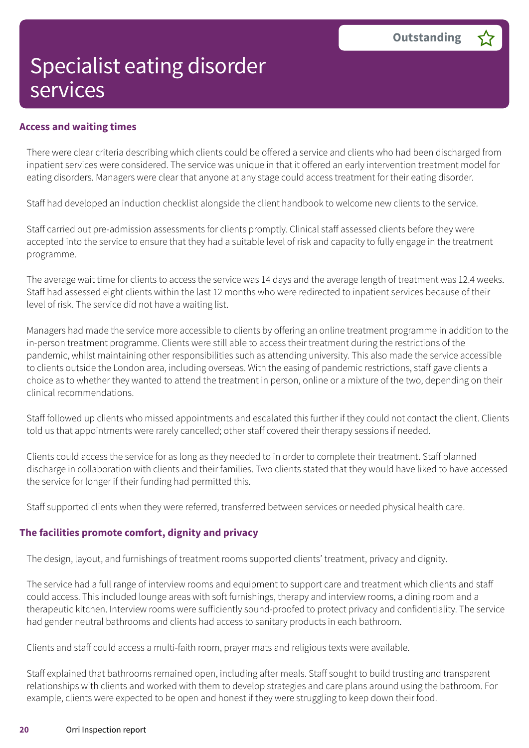#### **Access and waiting times**

There were clear criteria describing which clients could be offered a service and clients who had been discharged from inpatient services were considered. The service was unique in that it offered an early intervention treatment model for eating disorders. Managers were clear that anyone at any stage could access treatment for their eating disorder.

Staff had developed an induction checklist alongside the client handbook to welcome new clients to the service.

Staff carried out pre-admission assessments for clients promptly. Clinical staff assessed clients before they were accepted into the service to ensure that they had a suitable level of risk and capacity to fully engage in the treatment programme.

The average wait time for clients to access the service was 14 days and the average length of treatment was 12.4 weeks. Staff had assessed eight clients within the last 12 months who were redirected to inpatient services because of their level of risk. The service did not have a waiting list.

Managers had made the service more accessible to clients by offering an online treatment programme in addition to the in-person treatment programme. Clients were still able to access their treatment during the restrictions of the pandemic, whilst maintaining other responsibilities such as attending university. This also made the service accessible to clients outside the London area, including overseas. With the easing of pandemic restrictions, staff gave clients a choice as to whether they wanted to attend the treatment in person, online or a mixture of the two, depending on their clinical recommendations.

Staff followed up clients who missed appointments and escalated this further if they could not contact the client. Clients told us that appointments were rarely cancelled; other staff covered their therapy sessions if needed.

Clients could access the service for as long as they needed to in order to complete their treatment. Staff planned discharge in collaboration with clients and their families. Two clients stated that they would have liked to have accessed the service for longer if their funding had permitted this.

Staff supported clients when they were referred, transferred between services or needed physical health care.

#### **The facilities promote comfort, dignity and privacy**

The design, layout, and furnishings of treatment rooms supported clients' treatment, privacy and dignity.

The service had a full range of interview rooms and equipment to support care and treatment which clients and staff could access. This included lounge areas with soft furnishings, therapy and interview rooms, a dining room and a therapeutic kitchen. Interview rooms were sufficiently sound-proofed to protect privacy and confidentiality. The service had gender neutral bathrooms and clients had access to sanitary products in each bathroom.

Clients and staff could access a multi-faith room, prayer mats and religious texts were available.

Staff explained that bathrooms remained open, including after meals. Staff sought to build trusting and transparent relationships with clients and worked with them to develop strategies and care plans around using the bathroom. For example, clients were expected to be open and honest if they were struggling to keep down their food.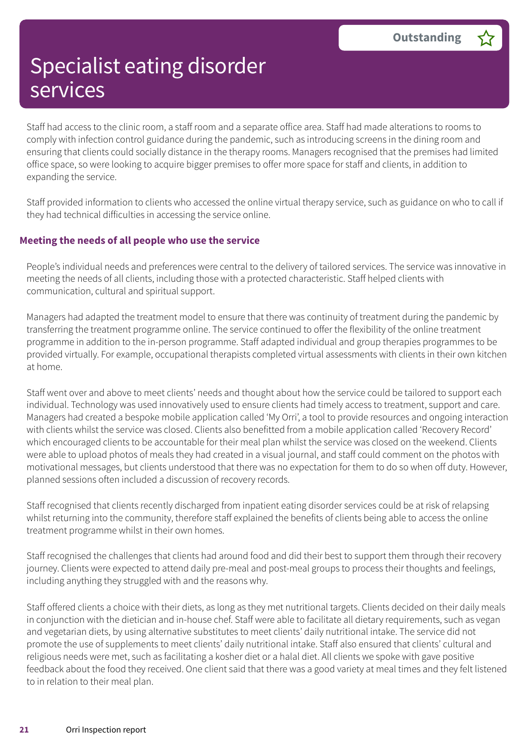Staff had access to the clinic room, a staff room and a separate office area. Staff had made alterations to rooms to comply with infection control guidance during the pandemic, such as introducing screens in the dining room and ensuring that clients could socially distance in the therapy rooms. Managers recognised that the premises had limited office space, so were looking to acquire bigger premises to offer more space for staff and clients, in addition to expanding the service.

Staff provided information to clients who accessed the online virtual therapy service, such as guidance on who to call if they had technical difficulties in accessing the service online.

#### **Meeting the needs of all people who use the service**

People's individual needs and preferences were central to the delivery of tailored services. The service was innovative in meeting the needs of all clients, including those with a protected characteristic. Staff helped clients with communication, cultural and spiritual support.

Managers had adapted the treatment model to ensure that there was continuity of treatment during the pandemic by transferring the treatment programme online. The service continued to offer the flexibility of the online treatment programme in addition to the in-person programme. Staff adapted individual and group therapies programmes to be provided virtually. For example, occupational therapists completed virtual assessments with clients in their own kitchen at home.

Staff went over and above to meet clients' needs and thought about how the service could be tailored to support each individual. Technology was used innovatively used to ensure clients had timely access to treatment, support and care. Managers had created a bespoke mobile application called 'My Orri', a tool to provide resources and ongoing interaction with clients whilst the service was closed. Clients also benefitted from a mobile application called 'Recovery Record' which encouraged clients to be accountable for their meal plan whilst the service was closed on the weekend. Clients were able to upload photos of meals they had created in a visual journal, and staff could comment on the photos with motivational messages, but clients understood that there was no expectation for them to do so when off duty. However, planned sessions often included a discussion of recovery records.

Staff recognised that clients recently discharged from inpatient eating disorder services could be at risk of relapsing whilst returning into the community, therefore staff explained the benefits of clients being able to access the online treatment programme whilst in their own homes.

Staff recognised the challenges that clients had around food and did their best to support them through their recovery journey. Clients were expected to attend daily pre-meal and post-meal groups to process their thoughts and feelings, including anything they struggled with and the reasons why.

Staff offered clients a choice with their diets, as long as they met nutritional targets. Clients decided on their daily meals in conjunction with the dietician and in-house chef. Staff were able to facilitate all dietary requirements, such as vegan and vegetarian diets, by using alternative substitutes to meet clients' daily nutritional intake. The service did not promote the use of supplements to meet clients' daily nutritional intake. Staff also ensured that clients' cultural and religious needs were met, such as facilitating a kosher diet or a halal diet. All clients we spoke with gave positive feedback about the food they received. One client said that there was a good variety at meal times and they felt listened to in relation to their meal plan.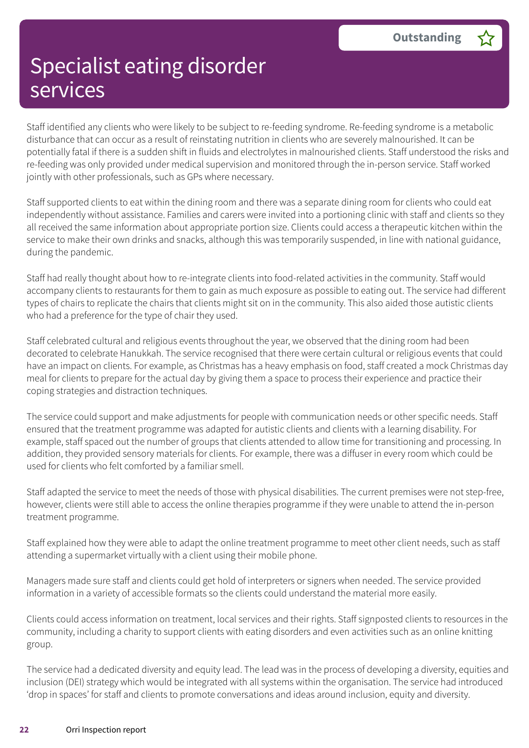Staff identified any clients who were likely to be subject to re-feeding syndrome. Re-feeding syndrome is a metabolic disturbance that can occur as a result of reinstating nutrition in clients who are severely malnourished. It can be potentially fatal if there is a sudden shift in fluids and electrolytes in malnourished clients. Staff understood the risks and re-feeding was only provided under medical supervision and monitored through the in-person service. Staff worked jointly with other professionals, such as GPs where necessary.

Staff supported clients to eat within the dining room and there was a separate dining room for clients who could eat independently without assistance. Families and carers were invited into a portioning clinic with staff and clients so they all received the same information about appropriate portion size. Clients could access a therapeutic kitchen within the service to make their own drinks and snacks, although this was temporarily suspended, in line with national guidance, during the pandemic.

Staff had really thought about how to re-integrate clients into food-related activities in the community. Staff would accompany clients to restaurants for them to gain as much exposure as possible to eating out. The service had different types of chairs to replicate the chairs that clients might sit on in the community. This also aided those autistic clients who had a preference for the type of chair they used.

Staff celebrated cultural and religious events throughout the year, we observed that the dining room had been decorated to celebrate Hanukkah. The service recognised that there were certain cultural or religious events that could have an impact on clients. For example, as Christmas has a heavy emphasis on food, staff created a mock Christmas day meal for clients to prepare for the actual day by giving them a space to process their experience and practice their coping strategies and distraction techniques.

The service could support and make adjustments for people with communication needs or other specific needs. Staff ensured that the treatment programme was adapted for autistic clients and clients with a learning disability. For example, staff spaced out the number of groups that clients attended to allow time for transitioning and processing. In addition, they provided sensory materials for clients. For example, there was a diffuser in every room which could be used for clients who felt comforted by a familiar smell.

Staff adapted the service to meet the needs of those with physical disabilities. The current premises were not step-free, however, clients were still able to access the online therapies programme if they were unable to attend the in-person treatment programme.

Staff explained how they were able to adapt the online treatment programme to meet other client needs, such as staff attending a supermarket virtually with a client using their mobile phone.

Managers made sure staff and clients could get hold of interpreters or signers when needed. The service provided information in a variety of accessible formats so the clients could understand the material more easily.

Clients could access information on treatment, local services and their rights. Staff signposted clients to resources in the community, including a charity to support clients with eating disorders and even activities such as an online knitting group.

The service had a dedicated diversity and equity lead. The lead was in the process of developing a diversity, equities and inclusion (DEI) strategy which would be integrated with all systems within the organisation. The service had introduced 'drop in spaces' for staff and clients to promote conversations and ideas around inclusion, equity and diversity.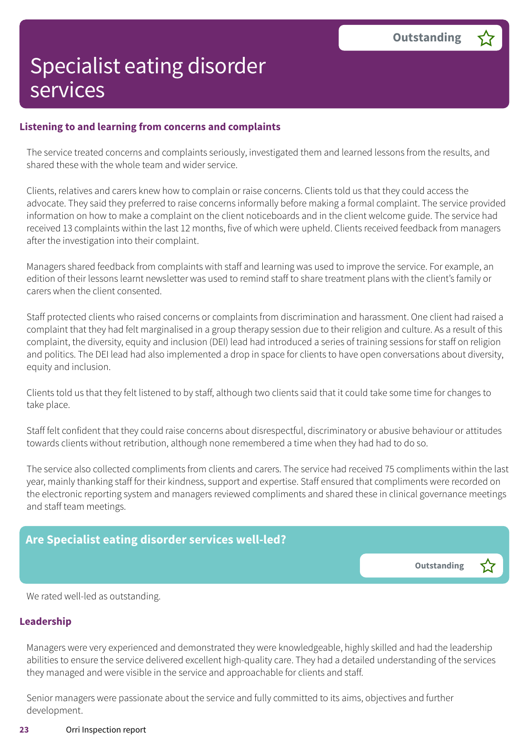#### **Listening to and learning from concerns and complaints**

The service treated concerns and complaints seriously, investigated them and learned lessons from the results, and shared these with the whole team and wider service.

Clients, relatives and carers knew how to complain or raise concerns. Clients told us that they could access the advocate. They said they preferred to raise concerns informally before making a formal complaint. The service provided information on how to make a complaint on the client noticeboards and in the client welcome guide. The service had received 13 complaints within the last 12 months, five of which were upheld. Clients received feedback from managers after the investigation into their complaint.

Managers shared feedback from complaints with staff and learning was used to improve the service. For example, an edition of their lessons learnt newsletter was used to remind staff to share treatment plans with the client's family or carers when the client consented.

Staff protected clients who raised concerns or complaints from discrimination and harassment. One client had raised a complaint that they had felt marginalised in a group therapy session due to their religion and culture. As a result of this complaint, the diversity, equity and inclusion (DEI) lead had introduced a series of training sessions for staff on religion and politics. The DEI lead had also implemented a drop in space for clients to have open conversations about diversity, equity and inclusion.

Clients told us that they felt listened to by staff, although two clients said that it could take some time for changes to take place.

Staff felt confident that they could raise concerns about disrespectful, discriminatory or abusive behaviour or attitudes towards clients without retribution, although none remembered a time when they had had to do so.

The service also collected compliments from clients and carers. The service had received 75 compliments within the last year, mainly thanking staff for their kindness, support and expertise. Staff ensured that compliments were recorded on the electronic reporting system and managers reviewed compliments and shared these in clinical governance meetings and staff team meetings.



We rated well-led as outstanding.

#### **Leadership**

Managers were very experienced and demonstrated they were knowledgeable, highly skilled and had the leadership abilities to ensure the service delivered excellent high-quality care. They had a detailed understanding of the services they managed and were visible in the service and approachable for clients and staff.

Senior managers were passionate about the service and fully committed to its aims, objectives and further development.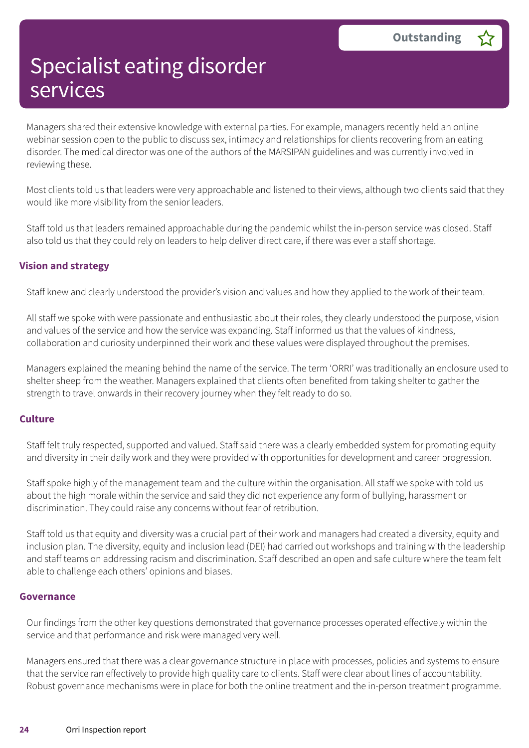Managers shared their extensive knowledge with external parties. For example, managers recently held an online webinar session open to the public to discuss sex, intimacy and relationships for clients recovering from an eating disorder. The medical director was one of the authors of the MARSIPAN guidelines and was currently involved in reviewing these.

Most clients told us that leaders were very approachable and listened to their views, although two clients said that they would like more visibility from the senior leaders.

Staff told us that leaders remained approachable during the pandemic whilst the in-person service was closed. Staff also told us that they could rely on leaders to help deliver direct care, if there was ever a staff shortage.

#### **Vision and strategy**

Staff knew and clearly understood the provider's vision and values and how they applied to the work of their team.

All staff we spoke with were passionate and enthusiastic about their roles, they clearly understood the purpose, vision and values of the service and how the service was expanding. Staff informed us that the values of kindness, collaboration and curiosity underpinned their work and these values were displayed throughout the premises.

Managers explained the meaning behind the name of the service. The term 'ORRI' was traditionally an enclosure used to shelter sheep from the weather. Managers explained that clients often benefited from taking shelter to gather the strength to travel onwards in their recovery journey when they felt ready to do so.

#### **Culture**

Staff felt truly respected, supported and valued. Staff said there was a clearly embedded system for promoting equity and diversity in their daily work and they were provided with opportunities for development and career progression.

Staff spoke highly of the management team and the culture within the organisation. All staff we spoke with told us about the high morale within the service and said they did not experience any form of bullying, harassment or discrimination. They could raise any concerns without fear of retribution.

Staff told us that equity and diversity was a crucial part of their work and managers had created a diversity, equity and inclusion plan. The diversity, equity and inclusion lead (DEI) had carried out workshops and training with the leadership and staff teams on addressing racism and discrimination. Staff described an open and safe culture where the team felt able to challenge each others' opinions and biases.

#### **Governance**

Our findings from the other key questions demonstrated that governance processes operated effectively within the service and that performance and risk were managed very well.

Managers ensured that there was a clear governance structure in place with processes, policies and systems to ensure that the service ran effectively to provide high quality care to clients. Staff were clear about lines of accountability. Robust governance mechanisms were in place for both the online treatment and the in-person treatment programme.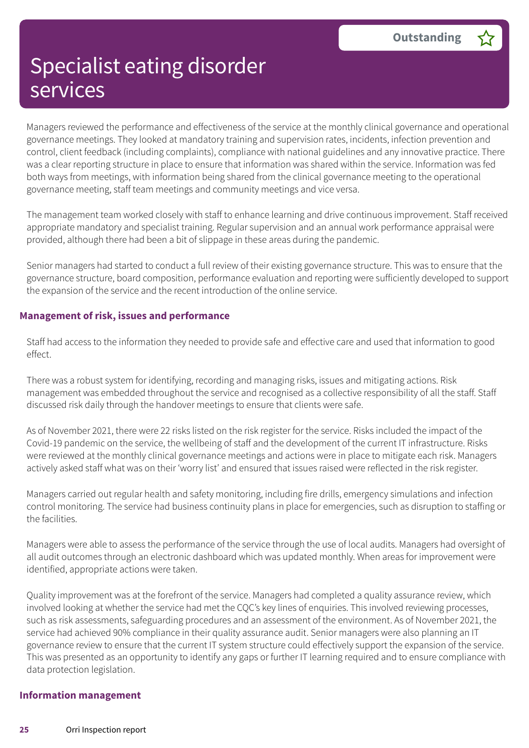Managers reviewed the performance and effectiveness of the service at the monthly clinical governance and operational governance meetings. They looked at mandatory training and supervision rates, incidents, infection prevention and control, client feedback (including complaints), compliance with national guidelines and any innovative practice. There was a clear reporting structure in place to ensure that information was shared within the service. Information was fed both ways from meetings, with information being shared from the clinical governance meeting to the operational governance meeting, staff team meetings and community meetings and vice versa.

The management team worked closely with staff to enhance learning and drive continuous improvement. Staff received appropriate mandatory and specialist training. Regular supervision and an annual work performance appraisal were provided, although there had been a bit of slippage in these areas during the pandemic.

Senior managers had started to conduct a full review of their existing governance structure. This was to ensure that the governance structure, board composition, performance evaluation and reporting were sufficiently developed to support the expansion of the service and the recent introduction of the online service.

#### **Management of risk, issues and performance**

Staff had access to the information they needed to provide safe and effective care and used that information to good effect.

There was a robust system for identifying, recording and managing risks, issues and mitigating actions. Risk management was embedded throughout the service and recognised as a collective responsibility of all the staff. Staff discussed risk daily through the handover meetings to ensure that clients were safe.

As of November 2021, there were 22 risks listed on the risk register for the service. Risks included the impact of the Covid-19 pandemic on the service, the wellbeing of staff and the development of the current IT infrastructure. Risks were reviewed at the monthly clinical governance meetings and actions were in place to mitigate each risk. Managers actively asked staff what was on their 'worry list' and ensured that issues raised were reflected in the risk register.

Managers carried out regular health and safety monitoring, including fire drills, emergency simulations and infection control monitoring. The service had business continuity plans in place for emergencies, such as disruption to staffing or the facilities.

Managers were able to assess the performance of the service through the use of local audits. Managers had oversight of all audit outcomes through an electronic dashboard which was updated monthly. When areas for improvement were identified, appropriate actions were taken.

Quality improvement was at the forefront of the service. Managers had completed a quality assurance review, which involved looking at whether the service had met the CQC's key lines of enquiries. This involved reviewing processes, such as risk assessments, safeguarding procedures and an assessment of the environment. As of November 2021, the service had achieved 90% compliance in their quality assurance audit. Senior managers were also planning an IT governance review to ensure that the current IT system structure could effectively support the expansion of the service. This was presented as an opportunity to identify any gaps or further IT learning required and to ensure compliance with data protection legislation.

#### **Information management**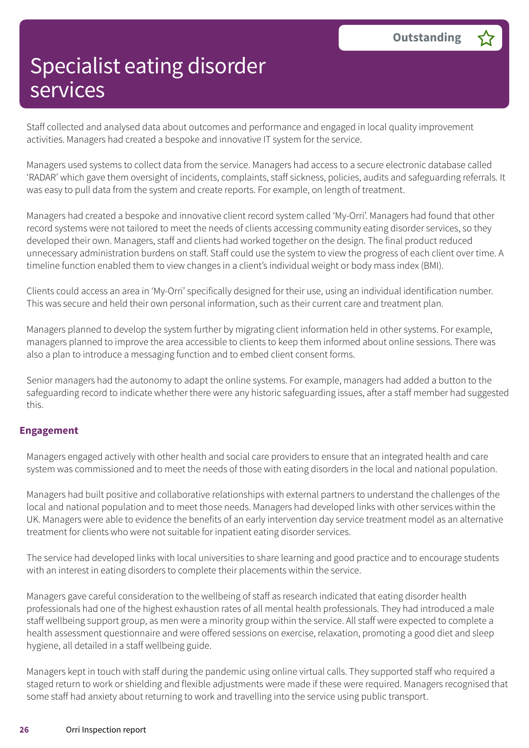Staff collected and analysed data about outcomes and performance and engaged in local quality improvement activities. Managers had created a bespoke and innovative IT system for the service.

Managers used systems to collect data from the service. Managers had access to a secure electronic database called 'RADAR' which gave them oversight of incidents, complaints, staff sickness, policies, audits and safeguarding referrals. It was easy to pull data from the system and create reports. For example, on length of treatment.

Managers had created a bespoke and innovative client record system called 'My-Orri'. Managers had found that other record systems were not tailored to meet the needs of clients accessing community eating disorder services, so they developed their own. Managers, staff and clients had worked together on the design. The final product reduced unnecessary administration burdens on staff. Staff could use the system to view the progress of each client over time. A timeline function enabled them to view changes in a client's individual weight or body mass index (BMI).

Clients could access an area in 'My-Orri' specifically designed for their use, using an individual identification number. This was secure and held their own personal information, such as their current care and treatment plan.

Managers planned to develop the system further by migrating client information held in other systems. For example, managers planned to improve the area accessible to clients to keep them informed about online sessions. There was also a plan to introduce a messaging function and to embed client consent forms.

Senior managers had the autonomy to adapt the online systems. For example, managers had added a button to the safeguarding record to indicate whether there were any historic safeguarding issues, after a staff member had suggested this.

#### **Engagement**

Managers engaged actively with other health and social care providers to ensure that an integrated health and care system was commissioned and to meet the needs of those with eating disorders in the local and national population.

Managers had built positive and collaborative relationships with external partners to understand the challenges of the local and national population and to meet those needs. Managers had developed links with other services within the UK. Managers were able to evidence the benefits of an early intervention day service treatment model as an alternative treatment for clients who were not suitable for inpatient eating disorder services.

The service had developed links with local universities to share learning and good practice and to encourage students with an interest in eating disorders to complete their placements within the service.

Managers gave careful consideration to the wellbeing of staff as research indicated that eating disorder health professionals had one of the highest exhaustion rates of all mental health professionals. They had introduced a male staff wellbeing support group, as men were a minority group within the service. All staff were expected to complete a health assessment questionnaire and were offered sessions on exercise, relaxation, promoting a good diet and sleep hygiene, all detailed in a staff wellbeing guide.

Managers kept in touch with staff during the pandemic using online virtual calls. They supported staff who required a staged return to work or shielding and flexible adjustments were made if these were required. Managers recognised that some staff had anxiety about returning to work and travelling into the service using public transport.